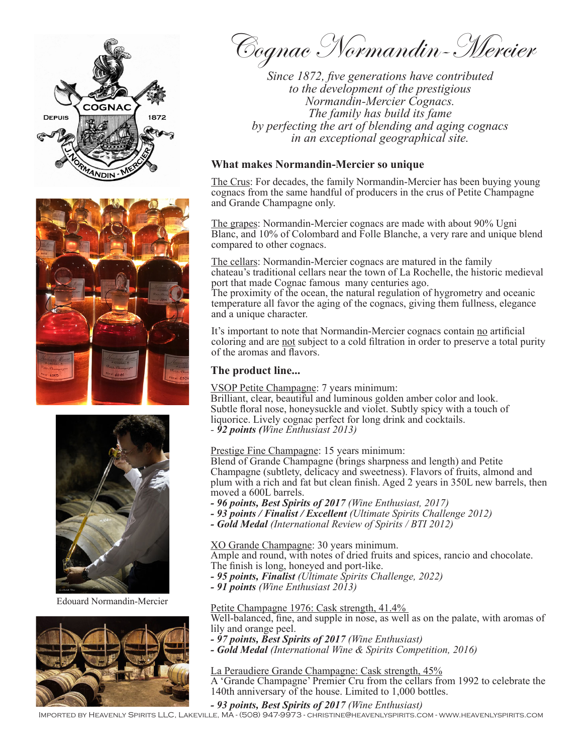





Edouard Normandin-Mercier



Cognac Normandin-Mercier

*Since 1872, five generations have contributed to the development of the prestigious Normandin-Mercier Cognacs. The family has build its fame by perfecting the art of blending and aging cognacs in an exceptional geographical site.* 

## **What makes Normandin-Mercier so unique**

The Crus: For decades, the family Normandin-Mercier has been buying young cognacs from the same handful of producers in the crus of Petite Champagne and Grande Champagne only.

The grapes: Normandin-Mercier cognacs are made with about 90% Ugni Blanc, and 10% of Colombard and Folle Blanche, a very rare and unique blend compared to other cognacs.

The cellars: Normandin-Mercier cognacs are matured in the family chateau's traditional cellars near the town of La Rochelle, the historic medieval port that made Cognac famous many centuries ago.

The proximity of the ocean, the natural regulation of hygrometry and oceanic temperature all favor the aging of the cognacs, giving them fullness, elegance and a unique character.

It's important to note that Normandin-Mercier cognacs contain no artificial coloring and are not subject to a cold filtration in order to preserve a total purity of the aromas and flavors.

### **The product line...**

VSOP Petite Champagne: 7 years minimum:

Brilliant, clear, beautiful and luminous golden amber color and look. Subtle floral nose, honeysuckle and violet. Subtly spicy with a touch of liquorice. Lively cognac perfect for long drink and cocktails. *- 92 points (Wine Enthusiast 2013)*

## Prestige Fine Champagne: 15 years minimum:

Blend of Grande Champagne (brings sharpness and length) and Petite Champagne (subtlety, delicacy and sweetness). Flavors of fruits, almond and plum with a rich and fat but clean finish. Aged 2 years in 350L new barrels, then moved a 600L barrels.

- *96 points, Best Spirits of 2017 (Wine Enthusiast, 2017)*
- *93 points / Finalist / Excellent (Ultimate Spirits Challenge 2012)*
- *- Gold Medal (International Review of Spirits / BTI 2012)*

XO Grande Champagne: 30 years minimum.

Ample and round, with notes of dried fruits and spices, rancio and chocolate. The finish is long, honeyed and port-like.

- *95 points, Finalist (Ultimate Spirits Challenge, 2022)*
- *91 points (Wine Enthusiast 2013)*

Petite Champagne 1976: Cask strength, 41.4%

Well-balanced, fine, and supple in nose, as well as on the palate, with aromas of lily and orange peel.

- *97 points, Best Spirits of 2017 (Wine Enthusiast)*
- *Gold Medal (International Wine & Spirits Competition, 2016)*

La Peraudiere Grande Champagne: Cask strength, 45%

A 'Grande Champagne' Premier Cru from the cellars from 1992 to celebrate the 140th anniversary of the house. Limited to 1,000 bottles.

#### *- 93 points, Best Spirits of 2017 (Wine Enthusiast)*

Imported by Heavenly Spirits LLC, Lakeville, MA - (508) 947-9973 - christine@heavenlyspirits.com - www.heavenlyspirits.com